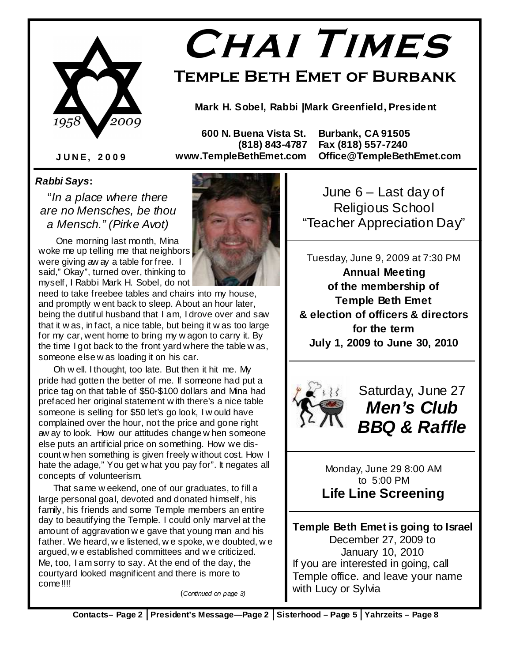

# **Chai Times**

**Temple Beth Emet of Burbank** 

**Mark H. Sobel, Rabbi |Mark Greenfield, President** 

 **600 N. Buena Vista St. Burbank, CA 91505** 

 **(818) 843-4787 Fax (818) 557-7240 www.TempleBethEmet.com Office@TempleBethEmet.com** 

**J U N E , 2 0 0 9** 

#### **Rabbi Says:**

"In a place where there are no Mensches, be thou a Mensch." (Pirke Avot)

One morning last month, Mina woke me up telling me that neighbors were giving aw ay a table for free. I said," Okay", turned over, thinking to myself, I Rabbi Mark H. Sobel, do not

need to take freebee tables and chairs into my house, and promptly w ent back to sleep. About an hour later, being the dutiful husband that I am, I drove over and saw that it w as, in fact, a nice table, but being it w as too large for my car, went home to bring my w agon to carry it. By the time I got back to the front yard where the table w as, someone else w as loading it on his car.

 Oh w ell. I thought, too late. But then it hit me. My pride had gotten the better of me. If someone had put a price tag on that table of \$50-\$100 dollars and Mina had prefaced her original statement w ith there's a nice table someone is selling for \$50 let's go look, I w ould have complained over the hour, not the price and gone right aw ay to look. How our attitudes change w hen someone else puts an artificial price on something. How we discount w hen something is given freely w ithout cost. How I hate the adage," You get w hat you pay for". It negates all concepts of volunteerism.

 That same w eekend, one of our graduates, to fill a large personal goal, devoted and donated himself, his family, his friends and some Temple members an entire day to beautifying the Temple. I could only marvel at the amount of aggravation w e gave that young man and his father. We heard, w e listened, w e spoke, w e doubted, w e argued, w e established committees and w e criticized. Me, too, I am sorry to say. At the end of the day, the courtyard looked magnificent and there is more to come!!!!

(Continued on page 3)

June 6 – Last day of Religious School "Teacher Appreciation Day"

Tuesday, June 9, 2009 at 7:30 PM **Annual Meeting of the membership of Temple Beth Emet & election of officers & directors for the term July 1, 2009 to June 30, 2010**



Saturday, June 27 **Men's Club BBQ & Raffle** 

Monday, June 29 8:00 AM to 5:00 PM **Life Line Screening** 

**Temple Beth Emet is going to Israel**  December 27, 2009 to January 10, 2010 If you are interested in going, call Temple office. and leave your name with Lucy or Sylvia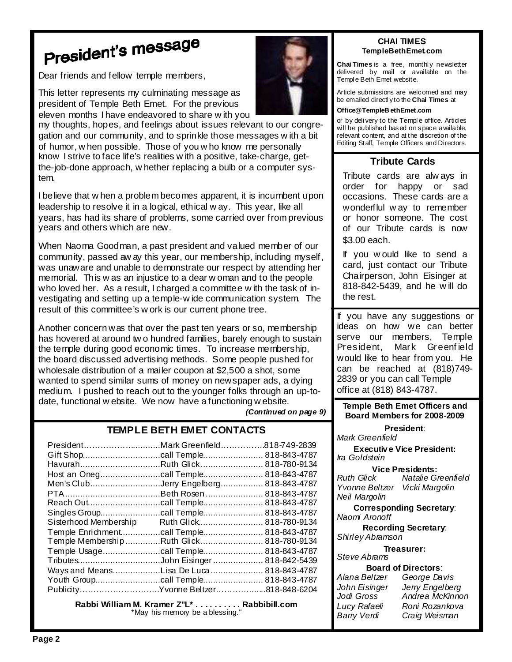## President's message

Dear friends and fellow temple members,

This letter represents my culminating message as president of Temple Beth Emet. For the previous eleven months I have endeavored to share w ith you

my thoughts, hopes, and feelings about issues relevant to our congregation and our community, and to sprinkle those messages w ith a bit of humor, w hen possible. Those of you w ho know me personally know I strive to face life's realities w ith a positive, take-charge, getthe-job-done approach, w hether replacing a bulb or a computer system.

I believe that w hen a problem becomes apparent, it is incumbent upon leadership to resolve it in a logical, ethical w ay. This year, like all years, has had its share of problems, some carried over from previous years and others which are new.

When Naoma Goodman, a past president and valued member of our community, passed aw ay this year, our membership, including myself, was unaware and unable to demonstrate our respect by attending her memorial. This w as an injustice to a dear w oman and to the people who loved her. As a result, I charged a committee w ith the task of investigating and setting up a temple-w ide communication system. The result of this committee's w ork is our current phone tree.

Another concern was that over the past ten years or so, membership has hovered at around tw o hundred families, barely enough to sustain the temple during good economic times. To increase membership, the board discussed advertising methods. Some people pushed for wholesale distribution of a mailer coupon at \$2,500 a shot, some wanted to spend similar sums of money on newspaper ads, a dying medium. I pushed to reach out to the younger folks through an up-todate, functional w ebsite. We now have a functioning w ebsite.

**(Continued on page 9)** 

#### **TEMPLE BETH EMET CONTACTS**

| President                           | .Mark Greenfield | .818-749-2839 |
|-------------------------------------|------------------|---------------|
|                                     |                  | 818-843-4787  |
| HavurahRuth Glick                   |                  | 818-780-9134  |
| Host an Oneg                        | .call Temple     | 818-843-4787  |
| Men's ClubJerry Engelberg           |                  | 818-843-4787  |
|                                     | Beth Rosen       | 818-843-4787  |
| Reach Out                           | .call Temple     | 818-843-4787  |
|                                     |                  | 818-843-4787  |
| Sisterhood Membership               | Ruth Glick       | 818-780-9134  |
| Temple Enrichment                   | .call Temple     | 818-843-4787  |
| Temple MembershipRuth Glick         |                  | 818-780-9134  |
| Temple Usage                        | .call Temple     | 818-843-4787  |
| TributesJohn Eisinger               |                  | 818-842-5439  |
| Ways and Means                      | Lisa De Luca     | 818-843-4787  |
|                                     |                  |               |
| PublicityYvonne Beltzer818-848-6204 |                  |               |

**Rabbi William M. Kramer Z''L\* . . . . . . . . . . Rabbibill.com** \*May his memory be a blessing.



#### **CHAI TIMES TempleBethEmet.com**

**Chai Times** is a free, monthl y newsletter delivered by mail or available on the Templ e Beth Emet website.

Article submissions are welcomed and may be emailed directl y to the **Chai Times** at

#### **Office@TempleB ethEmet.com**

or by deli very to the Templ e office. Articles will be published based on space available, relevant content, and at the discretion of the Editing Staff, Temple Officers and Directors.

#### **Tribute Cards**

Tribute cards are alw ays in order for happy or sad occasions. These cards are a wonderflul w ay to remember or honor someone. The cost of our Tribute cards is now \$3.00 each.

If you w ould like to send a card, just contact our Tribute Chairperson, John Eisinger at 818-842-5439, and he w ill do the rest.

If you have any suggestions or ideas on how we can better serve our members, Temple President, Mark Greenf ield would like to hear from you. He can be reached at (818)749- 2839 or you can call Temple office at (818) 843-4787.

**Temple Beth Emet Officers and Board Members for 2008-2009** 

**President**: Mark Greenfield

**Executiv e Vice President:**  Ira Goldstein

**Vice Presidents:**<br>Ruth Glick Matalie G. Natalie Greenfield Yvonne Beltzer Vicki Margolin Neil Margolin

**Corresponding Secretary**: Naomi Aronoff

**Recording Secretary**: Shirley Abramson

#### **Treasurer:**

Steve Abrams

| <b>Board of Directors:</b> |                 |  |
|----------------------------|-----------------|--|
| Alana Beltzer              | George Davis    |  |
| John Eisinger              | Jerry Engelberg |  |
| Jodi Gross                 | Andrea McKinnon |  |
| Lucy Rafaeli               | Roni Rozankova  |  |
| <b>Barry Verdi</b>         | Craig Weisman   |  |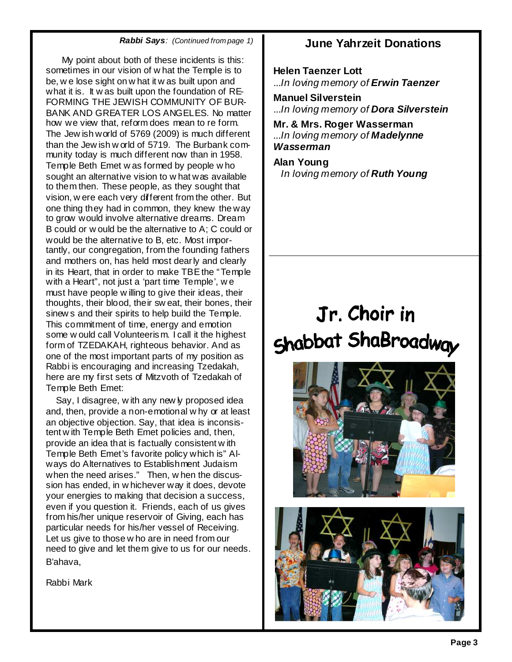#### **Rabbi Says**: (Continued from page 1) **June Yahrzeit Donations**

 My point about both of these incidents is this: sometimes in our vision of w hat the Temple is to be, w e lose sight on w hat it w as built upon and what it is. It w as built upon the foundation of RE-FORMING THE JEWISH COMMUNITY OF BUR-BANK AND GREATER LOS ANGELES. No matter how we view that, reform does mean to re form. The Jew ish world of 5769 (2009) is much different than the Jew ish w orld of 5719. The Burbank community today is much different now than in 1958. Temple Beth Emet w as formed by people w ho sought an alternative vision to w hat was available to them then. These people, as they sought that vision, w ere each very different from the other. But one thing they had in common, they knew the way to grow would involve alternative dreams. Dream B could or w ould be the alternative to A; C could or would be the alternative to B, etc. Most importantly, our congregation, from the founding fathers and mothers on, has held most dearly and clearly in its Heart, that in order to make TBE the "Temple with a Heart", not just a 'part time Temple', w e must have people w illing to give their ideas, their thoughts, their blood, their sw eat, their bones, their sinew s and their spirits to help build the Temple. This commitment of time, energy and emotion some w ould call Volunteerism. I call it the highest form of TZEDAKAH, righteous behavior. And as one of the most important parts of my position as Rabbi is encouraging and increasing Tzedakah, here are my first sets of Mitzvoth of Tzedakah of Temple Beth Emet:

Say, I disagree, w ith any new ly proposed idea and, then, provide a non-emotional w hy or at least an objective objection. Say, that idea is inconsistent w ith Temple Beth Emet policies and, then, provide an idea that is factually consistent w ith Temple Beth Emet's favorite policy which is" Always do Alternatives to Establishment Judaism when the need arises." Then, w hen the discussion has ended, in w hichever way it does, devote your energies to making that decision a success, even if you question it. Friends, each of us gives from his/her unique reservoir of Giving, each has particular needs for his/her vessel of Receiving. Let us give to those w ho are in need from our need to give and let them give to us for our needs. B'ahava,

Rabbi Mark

**Helen Taenzer Lott**  ...In loving memory of **Erwin Taenzer** 

**Manuel Silverstein**  ...In loving memory of **Dora Silverstein** 

**Mr. & Mrs. Roger Wasserman**  ...In loving memory of **Madelynne Wasserman** 

**Alan Young**  In loving memory of **Ruth Young** 

## Jr. Choir in Shabbat ShaBroadway



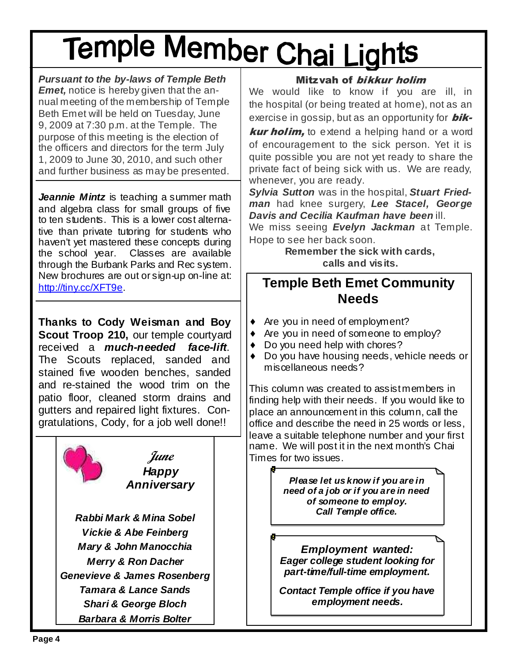## Temple Member Chai Lights

**Pursuant to the by-laws of Temple Beth Emet,** notice is hereby given that the annual meeting of the membership of Temple Beth Emet will be held on Tuesday, June 9, 2009 at 7:30 p.m. at the Temple. The purpose of this meeting is the election of the officers and directors for the term July 1, 2009 to June 30, 2010, and such other and further business as may be presented.

**Jeannie Mintz** is teaching a summer math and algebra class for small groups of five to ten students. This is a lower cost alternative than private tutoring for students who haven't yet mastered these concepts during the school year. Classes are available through the Burbank Parks and Rec system. New brochures are out or sign-up on-line at: http://tiny.cc/XFT9e.

**Thanks to Cody Weisman and Boy**  Scout Troop 210, our temple courtyard received a **much-needed face-lift**. The Scouts replaced, sanded and stained five wooden benches, sanded and re-stained the wood trim on the patio floor, cleaned storm drains and gutters and repaired light fixtures. Congratulations, Cody, for a job well done!!



#### Mitzvah of bikkur holim

We would like to know if you are ill, in the hospital (or being treated at home), not as an exercise in gossip, but as an opportunity for  $\mathbf{b}$ ik-

**kur holim,** to extend a helping hand or a word of encouragement to the sick person. Yet it is quite possible you are not yet ready to share the private fact of being sick with us. We are ready, whenever, you are ready.

**Sylvia Sutton** was in the hospital, **Stuart Friedman** had knee surgery, **Lee Stacel, George Davis and Cecilia Kaufman have been** ill.

We miss seeing **Evelyn Jackman** at Temple. Hope to see her back soon.

> **Remember the sick with cards, calls and visits.**

### **Temple Beth Emet Community Needs**

- ♦ Are you in need of employment?
- ♦ Are you in need of someone to employ?
- Do you need help with chores?
- ♦ Do you have housing needs, vehicle needs or miscellaneous needs?

This column was created to assist members in finding help with their needs. If you would like to place an announcement in this column, call the office and describe the need in 25 words or less, leave a suitable telephone number and your first name. We will post it in the next month's Chai *June* | Times for two issues.

**Anniversary Please let us know if you are in need of a job or if you are in need of someone to employ. Call Temple office.** 

> **Employment wanted: Eager college student looking for part-time/full-time employment.**

**Contact Temple office if you have employment needs.**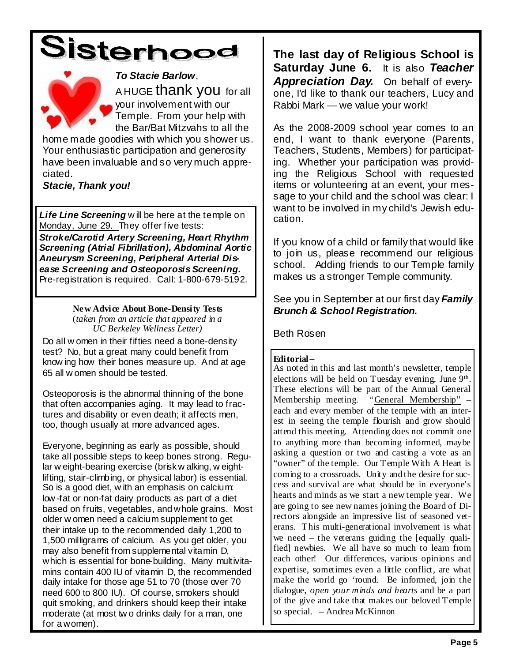



#### **To Stacie Barlow**,

A HUGE thank you for all your involvement with our Temple. From your help with the Bar/Bat Mitzvahs to all the

home made goodies with which you shower us. Your enthusiastic participation and generosity have been invaluable and so very much appreciated.

**Stacie, Thank you!**

**Life Line Screening** w ill be here at the temple on Monday, June 29. They offer five tests:

**Stroke/Carotid Artery Screening, Heart Rhythm Screening (Atrial Fibrillation), Abdominal Aortic Aneurysm Screening, Peripheral Arterial Disease Screening and Osteoporosis Screening.**  Pre-registration is required. Call: 1-800-679-5192.

#### **New Advice About Bone-Density Tests**  (*taken from an article that appeared in a UC Berkeley Wellness Letter)*

Do all w omen in their fifties need a bone-density test? No, but a great many could benefit from know ing how their bones measure up. And at age 65 all w omen should be tested.

Osteoporosis is the abnormal thinning of the bone that often accompanies aging. It may lead to fractures and disability or even death; it affects men, too, though usually at more advanced ages.

Everyone, beginning as early as possible, should take all possible steps to keep bones strong. Regular w eight-bearing exercise (brisk w alking, w eightlifting, stair-climbing, or physical labor) is essential. So is a good diet, w ith an emphasis on calcium: low -fat or non-fat dairy products as part of a diet based on fruits, vegetables, and whole grains. Most older w omen need a calcium supplement to get their intake up to the recommended daily 1,200 to 1,500 milligrams of calcium. As you get older, you may also benefit from supplemental vitamin D, which is essential for bone-building. Many multivitamins contain 400 IU of vitamin D, the recommended daily intake for those age 51 to 70 (those over 70 need 600 to 800 IU). Of course, smokers should quit smoking, and drinkers should keep their intake moderate (at most tw o drinks daily for a man, one for a women).

**The last day of Religious School is Saturday June 6.** It is also **Teacher Appreciation Day.** On behalf of everyone, I'd like to thank our teachers, Lucy and Rabbi Mark — we value your work!

As the 2008-2009 school year comes to an end, I want to thank everyone (Parents, Teachers, Students, Members) for participating. Whether your participation was providing the Religious School with requested items or volunteering at an event, your message to your child and the school was clear: I want to be involved in my child's Jewish education.

If you know of a child or family that would like to join us, please recommend our religious school. Adding friends to our Temple family makes us a stronger Temple community.

See you in September at our first day **Family Brunch & School Registration.** 

Beth Rosen

#### **Editorial--**

As noted in this and last month's newsletter, temple elections will be held on Tuesday evening, June 9<sup>th</sup>. These elections will be part of the Annual General Membership meeting. "General Membership" each and every member of the temple with an interest in seeing the temple flourish and grow should attend this meeting. Attending does not commit one to anything more than becoming informed, maybe asking a question or two and casting a vote as an "owner" of the temple. Our Temple With A Heart is coming to a crossroads. Unity and the desire for success and survival are what should be in everyone's hearts and minds as we start a new temple year. We are going to see new names joining the Board of Directors alongside an impressive list of seasoned veterans. This multi-generational involvement is what we need – the veterans guiding the [equally qualified] newbies. We all have so much to learn from each other! Our differences, various opinions and expertise, sometimes even a little conflict, are what make the world go 'round. Be informed, join the dialogue, *open your minds and hearts* and be a part of the give and take that makes our beloved Temple so special. – Andrea McKinnon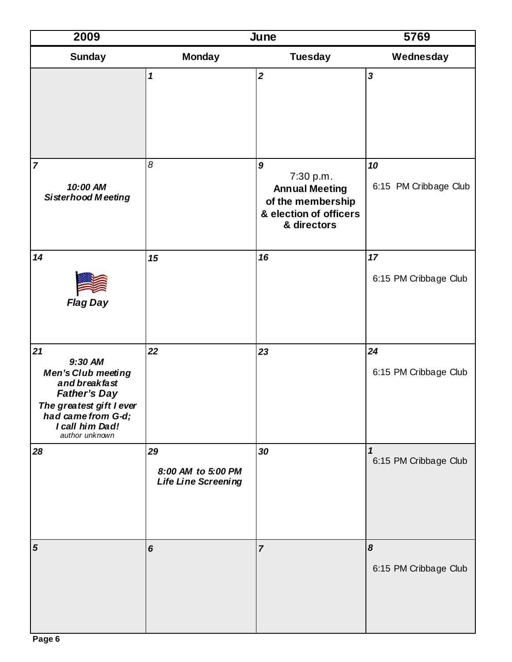| 2009                                                                                                                                                               |                                                 | June                                                                                                                 | 5769                        |
|--------------------------------------------------------------------------------------------------------------------------------------------------------------------|-------------------------------------------------|----------------------------------------------------------------------------------------------------------------------|-----------------------------|
| <b>Sunday</b>                                                                                                                                                      | <b>Monday</b>                                   | <b>Tuesday</b>                                                                                                       | Wednesday                   |
|                                                                                                                                                                    | $\boldsymbol{\mathcal{L}}$                      | $\overline{2}$                                                                                                       | $\overline{\mathbf{3}}$     |
| $\overline{7}$<br>10:00 AM<br><b>Sisterhood Meeting</b>                                                                                                            | 8                                               | $\boldsymbol{9}$<br>7:30 p.m.<br><b>Annual Meeting</b><br>of the membership<br>& election of officers<br>& directors | 10<br>6:15 PM Cribbage Club |
| 14<br><b>Flag Day</b>                                                                                                                                              | 15                                              | 16                                                                                                                   | 17<br>6:15 PM Cribbage Club |
| 21<br>9:30 AM<br>Men's Club meeting<br>and breakfast<br><b>Father's Day</b><br>The greatest gift I ever<br>had came from G-d;<br>I call him Dad!<br>author unknown | 22                                              | 23                                                                                                                   | 24<br>6:15 PM Cribbage Club |
| 28                                                                                                                                                                 | 29<br>8:00 AM to 5:00 PM<br>Life Line Screening | 30                                                                                                                   | 1<br>6:15 PM Cribbage Club  |
| 5                                                                                                                                                                  | 6                                               | $\overline{7}$                                                                                                       | 8<br>6:15 PM Cribbage Club  |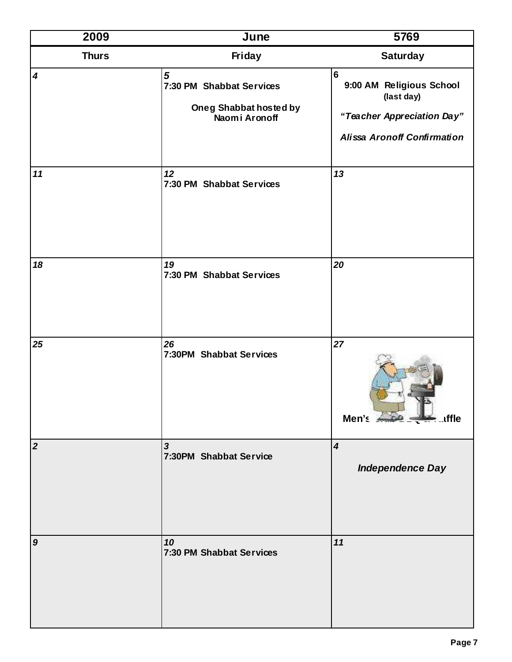| 2009             | June                                                                              | 5769                                                                                                                         |
|------------------|-----------------------------------------------------------------------------------|------------------------------------------------------------------------------------------------------------------------------|
| <b>Thurs</b>     | Friday                                                                            | <b>Saturday</b>                                                                                                              |
| $\boldsymbol{4}$ | $\sqrt{5}$<br>7:30 PM Shabbat Services<br>Oneg Shabbat hosted by<br>Naomi Aronoff | $6\phantom{a}$<br>9:00 AM Religious School<br>(last day)<br>"Teacher Appreciation Day"<br><b>Alissa Aronoff Confirmation</b> |
| 11               | 12<br>7:30 PM Shabbat Services                                                    | 13                                                                                                                           |
| 18               | 19<br>7:30 PM Shabbat Services                                                    | 20                                                                                                                           |
| 25               | 26<br>7:30PM Shabbat Services                                                     | 27<br>Men's 250 - uffle                                                                                                      |
| $\overline{2}$   | $\mathbf{3}$<br>7:30PM Shabbat Service                                            | $\overline{\mathbf{4}}$<br><b>Independence Day</b>                                                                           |
| $\boldsymbol{9}$ | 10<br>7:30 PM Shabbat Services                                                    | 11                                                                                                                           |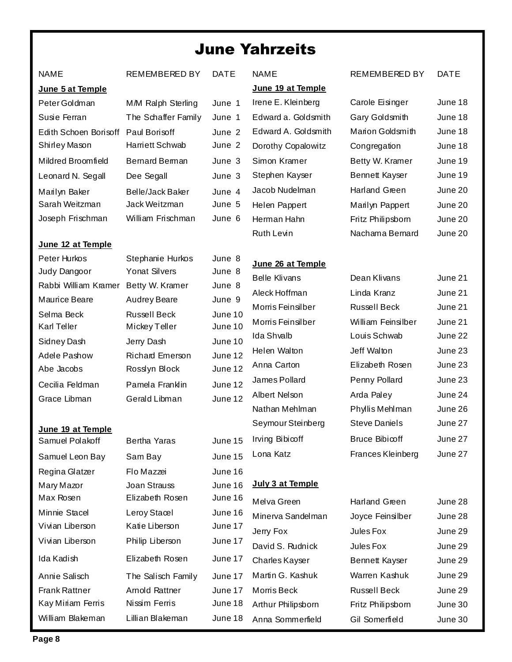### June Yahrzeits

| <b>NAME</b>                                          | REMEMBERED BY                            | <b>DATE</b>      | <b>NAME</b>          | <b>REMEMBERED BY</b>  | <b>DATE</b> |
|------------------------------------------------------|------------------------------------------|------------------|----------------------|-----------------------|-------------|
| June 5 at Temple                                     |                                          |                  | June 19 at Temple    |                       |             |
| Peter Goldman                                        | M/M Ralph Sterling                       | June 1           | Irene E. Kleinberg   | Carole Eisinger       | June 18     |
| Susie Ferran                                         | The Schaffer Family                      | June 1           | Edward a. Goldsmith  | Gary Goldsmith        | June 18     |
| Edith Schoen Borisoff Paul Borisoff                  |                                          | June 2           | Edward A. Goldsmith  | Marion Goldsmith      | June 18     |
| Shirley Mason                                        | Harriett Schwab                          | June 2           | Dorothy Copalowitz   | Congregation          | June 18     |
| Mildred Broomfield                                   | <b>Bernard Berman</b>                    | June 3           | Simon Kramer         | Betty W. Kramer       | June 19     |
| Leonard N. Segall                                    | Dee Segall                               | June 3           | Stephen Kayser       | <b>Bennett Kayser</b> | June 19     |
| Marilyn Baker                                        | <b>Belle/Jack Baker</b>                  | June 4           | Jacob Nudelman       | Harland Green         | June 20     |
| Sarah Weitzman                                       | Jack Weitzman                            | June 5           | Helen Pappert        | Marilyn Pappert       | June 20     |
| Joseph Frischman                                     | William Frischman                        | June 6           | Herman Hahn          | Fritz Philipsborn     | June 20     |
|                                                      |                                          |                  | <b>Ruth Levin</b>    | Nachama Bernard       | June 20     |
| June 12 at Temple                                    |                                          |                  |                      |                       |             |
| Peter Hurkos                                         | Stephanie Hurkos<br><b>Yonat Silvers</b> | June 8<br>June 8 | June 26 at Temple    |                       |             |
| Judy Dangoor<br>Rabbi William Kramer Betty W. Kramer |                                          | June 8           | <b>Belle Klivans</b> | Dean Klivans          | June 21     |
| Maurice Beare                                        | <b>Audrey Beare</b>                      | June 9           | Aleck Hoffman        | Linda Kranz           | June 21     |
| Selma Beck                                           | <b>Russell Beck</b>                      | June 10          | Morris Feinsilber    | <b>Russell Beck</b>   | June 21     |
| <b>Karl Teller</b>                                   | Mickey Teller                            | June 10          | Morris Feinsilber    | William Feinsilber    | June 21     |
| Sidney Dash                                          | Jerry Dash                               | June 10          | <b>Ida Shvalb</b>    | Louis Schwab          | June 22     |
| Adele Pashow                                         | <b>Richard Emerson</b>                   | June 12          | Helen Walton         | Jeff Walton           | June 23     |
| Abe Jacobs                                           | Rosslyn Block                            | June 12          | Anna Carton          | Elizabeth Rosen       | June 23     |
| Cecilia Feldman                                      | Pamela Franklin                          | June 12          | James Pollard        | Penny Pollard         | June 23     |
| Grace Libman                                         | Gerald Libman                            | June 12          | Albert Nelson        | Arda Paley            | June 24     |
|                                                      |                                          |                  | Nathan Mehlman       | Phylis Mehlman        | June 26     |
| June 19 at Temple                                    |                                          |                  | Seymour Steinberg    | <b>Steve Daniels</b>  | June 27     |
| Samuel Polakoff                                      | Bertha Yaras                             | June 15          | Irving Bibicoff      | Bruce Bibicoff        | June 27     |
| Samuel Leon Bay                                      | Sam Bay                                  | June 15          | Lona Katz            | Frances Kleinberg     | June 27     |
| Regina Glatzer                                       | Flo Mazzei                               | June 16          |                      |                       |             |
| Mary Mazor                                           | <b>Joan Strauss</b>                      | June 16          | July 3 at Temple     |                       |             |
| Max Rosen                                            | Elizabeth Rosen                          | June 16          | Melva Green          | Harland Green         | June 28     |
| Minnie Stacel                                        | Leroy Stacel                             | June 16          | Minerva Sandelman    | Joyce Feinsilber      | June 28     |
| Vivian Liberson                                      | Katie Liberson                           | June 17          | Jerry Fox            | Jules Fox             | June 29     |
| Vivian Liberson                                      | Philip Liberson                          | June 17          | David S. Rudnick     | Jules Fox             | June 29     |
| Ida Kadish                                           | Elizabeth Rosen                          | June 17          | Charles Kayser       | Bennett Kayser        | June 29     |
| Annie Salisch                                        | The Salisch Family                       | June 17          | Martin G. Kashuk     | Warren Kashuk         | June 29     |
| <b>Frank Rattner</b>                                 | Arnold Rattner                           | June 17          | Morris Beck          | <b>Russell Beck</b>   | June 29     |
| Kay Miriam Ferris                                    | Nissim Ferris                            | June 18          | Arthur Philipsborn   | Fritz Philipsborn     | June 30     |
| William Blakeman                                     | Lillian Blakeman                         | June 18          | Anna Sommerfield     | Gil Somerfield        | June 30     |

٦

ı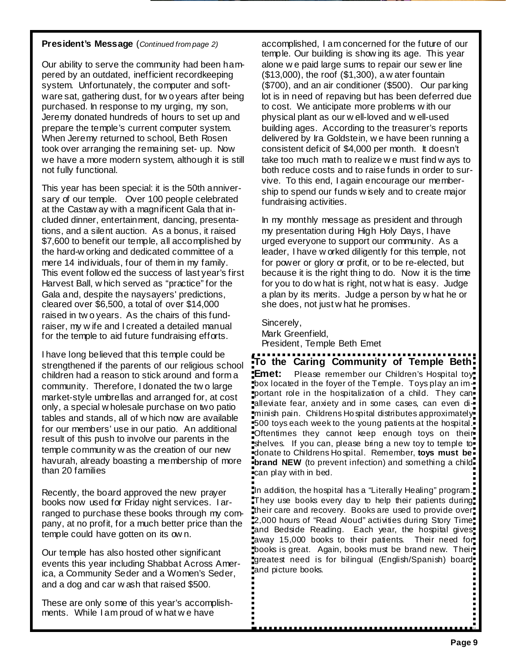#### **President's Message** (Continued from page 2)

Our ability to serve the community had been hampered by an outdated, inefficient recordkeeping system. Unfortunately, the computer and software sat, gathering dust, for tw o years after being purchased. In response to my urging, my son, Jeremy donated hundreds of hours to set up and prepare the temple's current computer system. When Jeremy returned to school, Beth Rosen took over arranging the remaining set- up. Now we have a more modern system, although it is still not fully functional.

This year has been special: it is the 50th anniversary of our temple. Over 100 people celebrated at the Castaw ay with a magnificent Gala that included dinner, entertainment, dancing, presentations, and a silent auction. As a bonus, it raised \$7,600 to benefit our temple, all accomplished by the hard-w orking and dedicated committee of a mere 14 individuals, four of them in my family. This event follow ed the success of last year's first Harvest Ball, w hich served as "practice" for the Gala and, despite the naysayers' predictions, cleared over \$6,500, a total of over \$14,000 raised in tw o years. As the chairs of this fundraiser, my w ife and I created a detailed manual for the temple to aid future fundraising efforts.

I have long believed that this temple could be strengthened if the parents of our religious school children had a reason to stick around and form a community. Therefore, I donated the tw o large market-style umbrellas and arranged for, at cost only, a special w holesale purchase on two patio tables and stands, all of w hich now are available for our members' use in our patio. An additional result of this push to involve our parents in the temple community w as the creation of our new havurah, already boasting a membership of more than 20 families

Recently, the board approved the new prayer books now used for Friday night services. I arranged to purchase these books through my company, at no profit, for a much better price than the temple could have gotten on its ow n.

Our temple has also hosted other significant events this year including Shabbat Across America, a Community Seder and a Women's Seder, and a dog and car w ash that raised \$500.

These are only some of this year's accomplishments. While I am proud of w hat w e have

accomplished, I am concerned for the future of our temple. Our building is show ing its age. This year alone w e paid large sums to repair our sew er line (\$13,000), the roof (\$1,300), a w ater fountain (\$700), and an air conditioner (\$500). Our parking lot is in need of repaving but has been deferred due to cost. We anticipate more problems w ith our physical plant as our w ell-loved and w ell-used building ages. According to the treasurer's reports delivered by Ira Goldstein, w e have been running a consistent deficit of \$4,000 per month. It doesn't take too much math to realize w e must find w ays to both reduce costs and to raise funds in order to survive. To this end, I again encourage our membership to spend our funds w isely and to create major fundraising activities.

In my monthly message as president and through my presentation during High Holy Days, I have urged everyone to support our community. As a leader, I have w orked diligently for this temple, not for power or glory or profit, or to be re-elected, but because it is the right thing to do. Now it is the time for you to do w hat is right, not w hat is easy. Judge a plan by its merits. Judge a person by w hat he or she does, not just w hat he promises.

Sincerely, Mark Greenfield, President, Temple Beth Emet

**To the Caring Community of Temple Beth Emet:** Please remember our Children's Hospital toy<sup>-</sup> box located in the foyer of the Temple. Toys play an important role in the hospitalization of a child. They canalleviate fear, anxiety and in some cases, can even diminish pain. Childrens Ho spital distributes approximately 500 toys each week to the young patients at the hospital. Oftentimes they cannot keep enough toys on their shelves. If you can, please bring a new toy to temple to  $\overline{\phantom{a}}$ donate to Childrens Ho spital. Remember, **toys must be brand NEW** (to prevent infection) and something a childcan play with in bed.

In addition, the hospital has a "Literally Healing" program. They use books every day to help their patients during. their care and recovery. Books are used to provide over. 2,000 hours of "Read Aloud" activities during Story Time and Bedside Reading. Each year, the hospital gives away 15,000 books to their patients. Their need for books is great. Again, books must be brand new. Their<sup>t</sup> greatest need is for bilingual (English/Spanish) board and picture books.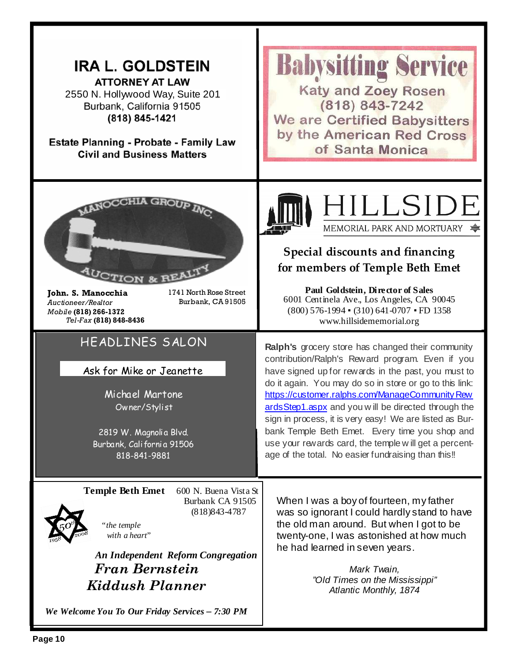| <b>IRA L. GOLDSTEIN</b><br><b>ATTORNEY AT LAW</b><br>2550 N. Hollywood Way, Suite 201<br>Burbank, California 91505<br>(818) 845-1421<br><b>Estate Planning - Probate - Family Law</b><br><b>Civil and Business Matters</b>                                  | <b>Babysitting Service</b><br><b>Katy and Zoey Rosen</b><br>$(818) 843 - 7242$<br><b>We are Certified Babysitters</b><br>by the American Red Cross<br>of Santa Monica                                                                                                                                                                                                                                                                                                                                                                                           |
|-------------------------------------------------------------------------------------------------------------------------------------------------------------------------------------------------------------------------------------------------------------|-----------------------------------------------------------------------------------------------------------------------------------------------------------------------------------------------------------------------------------------------------------------------------------------------------------------------------------------------------------------------------------------------------------------------------------------------------------------------------------------------------------------------------------------------------------------|
| 1741 North Rose Street<br>John. S. Manocchia<br>Burbank, CA 91505<br>Auctioneer/Realtor<br>Mobile (818) 266-1372<br>Tel-Fax (818) 848-8436                                                                                                                  | HILLSIDE<br>MEMORIAL PARK AND MORTUARY<br>Special discounts and financing<br>for members of Temple Beth Emet<br>Paul Goldstein, Director of Sales<br>6001 Centinela Ave., Los Angeles, CA 90045<br>$(800)$ 576-1994 $\bullet$ (310) 641-0707 $\bullet$ FD 1358<br>www.hillsidememorial.org                                                                                                                                                                                                                                                                      |
| HEADLINES SALON<br>Ask for Mike or Jeanette<br>Michael Martone<br>Owner/Stylist<br>2819 W. Magnoli a Blvd.<br>Burbank, California 91506<br>818-841-9881                                                                                                     | Ralph's grocery store has changed their community<br>contribution/Ralph's Reward program. Even if you<br>have signed up for rewards in the past, you must to<br>do it again. You may do so in store or go to this link:<br>https://customer.ralphs.com/ManageCommunity Rew<br>ards Step1.aspx and you will be directed through the<br>sign in process, it is very easy! We are listed as Bur-<br>bank Temple Beth Emet. Every time you shop and<br>use your rewards card, the temple will get a percent-<br>age of the total. No easier fundraising than this!! |
| <b>Temple Beth Emet</b><br>600 N. Buena Vista St<br>Burbank CA 91505<br>(818) 843-4787<br>"the temple<br>with a heart"<br>An Independent Reform Congregation<br><b>Fran Bernstein</b><br>Kiddush Planner<br>We Welcome You To Our Friday Services - 7:30 PM | When I was a boy of fourteen, my father<br>was so ignorant I could hardly stand to have<br>the old man around. But when I got to be<br>twenty-one, I was astonished at how much<br>he had learned in seven years.<br>Mark Twain,<br>"Old Times on the Mississippi"<br>Atlantic Monthly, 1874                                                                                                                                                                                                                                                                    |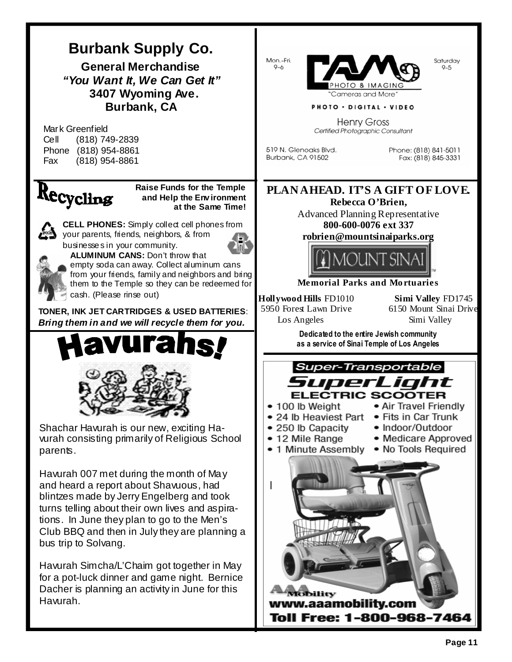